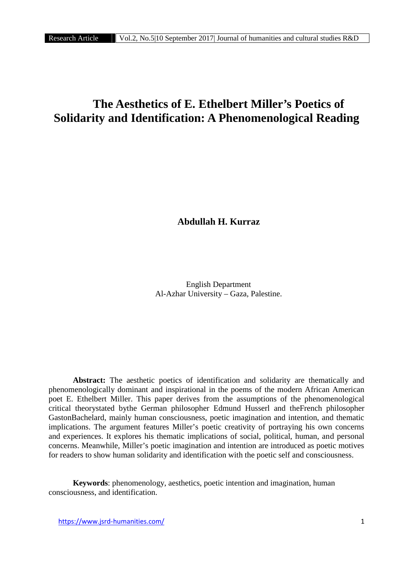# **The Aesthetics of E. Ethelbert Miller's Poetics of Solidarity and Identification: A Phenomenological Reading**

**Abdullah H. Kurraz**

English Department Al-Azhar University – Gaza, Palestine.

**Abstract:** The aesthetic poetics of identification and solidarity are thematically and phenomenologically dominant and inspirational in the poems of the modern African American poet E. Ethelbert Miller. This paper derives from the assumptions of the phenomenological critical theorystated bythe German philosopher Edmund Husserl and theFrench philosopher GastonBachelard, mainly human consciousness, poetic imagination and intention, and thematic implications. The argument features Miller's poetic creativity of portraying his own concerns and experiences. It explores his thematic implications of social, political, human, and personal concerns. Meanwhile, Miller's poetic imagination and intention are introduced as poetic motives for readers to show human solidarity and identification with the poetic self and consciousness.

**Keywords**: phenomenology, aesthetics, poetic intention and imagination, human consciousness, and identification.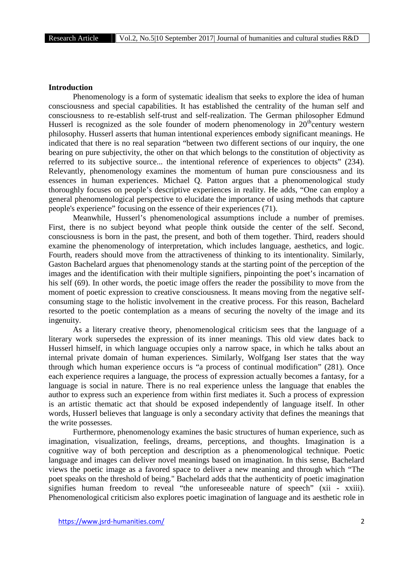## **Introduction**

Phenomenology is a form of systematic idealism that seeks to explore the idea of human consciousness and special capabilities. It has established the centrality of the human self and consciousness to re-establish self-trust and self-realization. The German philosopher Edmund Husserl is recognized as the sole founder of modern phenomenology in  $20<sup>th</sup>$ century western philosophy. Husserl asserts that human intentional experiences embody significant meanings. He indicated that there is no real separation "between two different sections of our inquiry, the one bearing on pure subjectivity, the other on that which belongs to the constitution of objectivity as referred to its subjective source... the intentional reference of experiences to objects" (234). Relevantly, phenomenology examines the momentum of human pure consciousness and its essences in human experiences. Michael Q. Patton argues that a phenomenological study thoroughly focuses on people's descriptive experiences in reality. He adds, "One can employ a general phenomenological perspective to elucidate the importance of using methods that capture people's experience" focusing on the essence of their experiences (71).

Meanwhile, Husserl's phenomenological assumptions include a number of premises. First, there is no subject beyond what people think outside the center of the self. Second, consciousness is born in the past, the present, and both of them together. Third, readers should examine the phenomenology of interpretation, which includes language, aesthetics, and logic. Fourth, readers should move from the attractiveness of thinking to its intentionality. Similarly, Gaston Bachelard argues that phenomenology stands at the starting point of the perception of the images and the identification with their multiple signifiers, pinpointing the poet's incarnation of his self (69). In other words, the poetic image offers the reader the possibility to move from the moment of poetic expression to creative consciousness. It means moving from the negative self consuming stage to the holistic involvement in the creative process. For this reason, Bachelard resorted to the poetic contemplation as a means of securing the novelty of the image and its ingenuity.

As a literary creative theory, phenomenological criticism sees that the language of a literary work supersedes the expression of its inner meanings. This old view dates back to Husserl himself, in which language occupies only a narrow space, in which he talks about an internal private domain of human experiences. Similarly, Wolfgang Iser states that the way through which human experience occurs is "a process of continual modification" (281). Once each experience requires a language, the process of expression actually becomes a fantasy, for a language is social in nature. There is no real experience unless the language that enables the author to express such an experience from within first mediates it. Such a process of expression is an artistic thematic act that should be exposed independently of language itself. In other words, Husserl believes that language is only a secondary activity that defines the meanings that the write possesses.

Furthermore, phenomenology examines the basic structures of human experience, such as imagination, visualization, feelings, dreams, perceptions, and thoughts. Imagination is a cognitive way of both perception and description as a phenomenological technique. Poetic language and images can deliver novel meanings based on imagination. In this sense, Bachelard views the poetic image as a favored space to deliver a new meaning and through which "The poet speaks on the threshold of being." Bachelard adds that the authenticity of poetic imagination signifies human freedom to reveal "the unforeseeable nature of speech" (xii - xxiii). Phenomenological criticism also explores poetic imagination of language and its aesthetic role in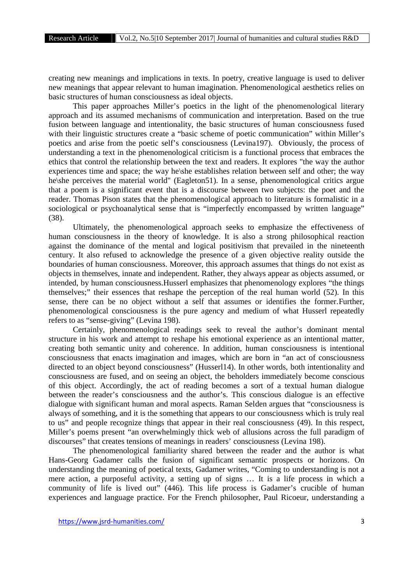creating new meanings and implications in texts. In poetry, creative language is used to deliver new meanings that appear relevant to human imagination. Phenomenological aesthetics relies on basic structures of human consciousness as ideal objects.

This paper approaches Miller's poetics in the light of the phenomenological literary approach and its assumed mechanisms of communication and interpretation. Based on the true fusion between language and intentionality, the basic structures of human consciousness fused with their linguistic structures create a "basic scheme of poetic communication" within Miller's poetics and arise from the poetic self's consciousness (Levina197). Obviously, the process of understanding a text in the phenomenological criticism is a functional process that embraces the ethics that control the relationship between the text and readers. It explores "the way the author experiences time and space; the way he\she establishes relation between self and other; the way he\she perceives the material world" (Eagleton51). In a sense, phenomenological critics argue that a poem is a significant event that is a discourse between two subjects: the poet and the reader. Thomas Pison states that the phenomenological approach to literature is formalistic in a sociological or psychoanalytical sense that is "imperfectly encompassed by written language" (38).

Ultimately, the phenomenological approach seeks to emphasize the effectiveness of human consciousness in the theory of knowledge. It is also a strong philosophical reaction against the dominance of the mental and logical positivism that prevailed in the nineteenth century. It also refused to acknowledge the presence of a given objective reality outside the boundaries of human consciousness. Moreover, this approach assumes that things do not exist as objects in themselves, innate and independent. Rather, they always appear as objects assumed, or intended, by human consciousness.Husserl emphasizes that phenomenology explores "the things themselves;" their essences that reshape the perception of the real human world (52). In this sense, there can be no object without a self that assumes or identifies the former.Further, phenomenological consciousness is the pure agency and medium of what Husserl repeatedly refers to as "sense-giving" (Levina 198).

Certainly, phenomenological readings seek to reveal the author's dominant mental structure in his work and attempt to reshape his emotional experience as an intentional matter, creating both semantic unity and coherence. In addition, human consciousness is intentional consciousness that enacts imagination and images, which are born in "an act of consciousness directed to an object beyond consciousness" (Husserl14). In other words, both intentionality and consciousness are fused, and on seeing an object, the beholders immediately become conscious of this object. Accordingly, the act of reading becomes a sort of a textual human dialogue between the reader's consciousness and the author's. This conscious dialogue is an effective dialogue with significant human and moral aspects. Raman Selden argues that "consciousness is always of something, and it is the something that appears to our consciousness which is truly real to us" and people recognize things that appear in their real consciousness (49). In this respect, Miller's poems present "an overwhelmingly thick web of allusions across the full paradigm of discourses" that creates tensions of meanings in readers' consciousness (Levina 198).

The phenomenological familiarity shared between the reader and the author is what Hans-Georg Gadamer calls the fusion of significant semantic prospects or horizons. On understanding the meaning of poetical texts, Gadamer writes, "Coming to understanding is not a mere action, a purposeful activity, a setting up of signs … It is a life process in which a community of life is lived out" (446). This life process is Gadamer's crucible of human experiences and language practice. For the French philosopher, Paul Ricoeur, understanding a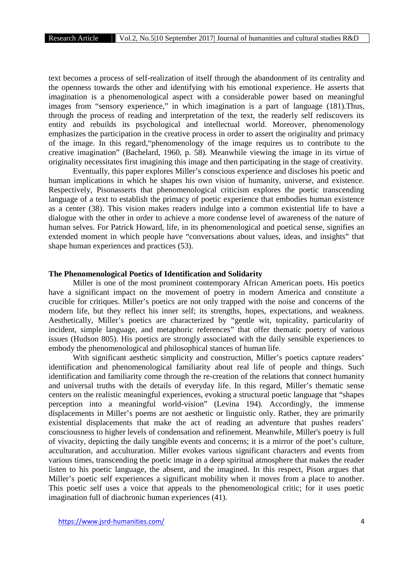text becomes a process of self-realization of itself through the abandonment of its centrality and the openness towards the other and identifying with his emotional experience. He asserts that imagination is a phenomenological aspect with a considerable power based on meaningful images from "sensory experience," in which imagination is a part of language (181).Thus, through the process of reading and interpretation of the text, the readerly self rediscovers its entity and rebuilds its psychological and intellectual world. Moreover, phenomenology emphasizes the participation in the creative process in order to assert the originality and primacy of the image. In this regard,"phenomenology of the image requires us to contribute to the creative imagination" (Bachelard, 1960, p. 58). Meanwhile viewing the image in its virtue of originality necessitates first imagining this image and then participating in the stage of creativity.

Eventually, this paper explores Miller's conscious experience and discloses his poetic and human implications in which he shapes his own vision of humanity, universe, and existence. Respectively, Pisonasserts that phenomenological criticism explores the poetic transcending language of a text to establish the primacy of poetic experience that embodies human existence as a center (38). This vision makes readers indulge into a common existential life to have a dialogue with the other in order to achieve a more condense level of awareness of the nature of human selves. For Patrick Howard, life, in its phenomenological and poetical sense, signifies an extended moment in which people have "conversations about values, ideas, and insights" that shape human experiences and practices (53).

### **The Phenomenological Poetics of Identification and Solidarity**

Miller is one of the most prominent contemporary African American poets. His poetics have a significant impact on the movement of poetry in modern America and constitute a crucible for critiques. Miller's poetics are not only trapped with the noise and concerns of the modern life, but they reflect his inner self; its strengths, hopes, expectations, and weakness. Aesthetically, Miller's poetics are characterized by "gentle wit, topicality, particularity of incident, simple language, and metaphoric references" that offer thematic poetry of various issues (Hudson 805). His poetics are strongly associated with the daily sensible experiences to embody the phenomenological and philosophical stances of human life.

With significant aesthetic simplicity and construction, Miller's poetics capture readers' identification and phenomenological familiarity about real life of people and things. Such identification and familiarity come through the re-creation of the relations that connect humanity and universal truths with the details of everyday life. In this regard, Miller's thematic sense centers on the realistic meaningful experiences, evoking a structural poetic language that "shapes perception into a meaningful world-vision" (Levina 194). Accordingly, the immense displacements in Miller's poems are not aesthetic or linguistic only. Rather, they are primarily existential displacements that make the act of reading an adventure that pushes readers' consciousness to higher levels of condensation and refinement. Meanwhile, Miller's poetry is full of vivacity, depicting the daily tangible events and concerns; it is a mirror of the poet's culture, acculturation, and acculturation. Miller evokes various significant characters and events from various times, transcending the poetic image in a deep spiritual atmosphere that makes the reader listen to his poetic language, the absent, and the imagined. In this respect, Pison argues that Miller's poetic self experiences a significant mobility when it moves from a place to another. This poetic self uses a voice that appeals to the phenomenological critic; for it uses poetic imagination full of diachronic human experiences (41).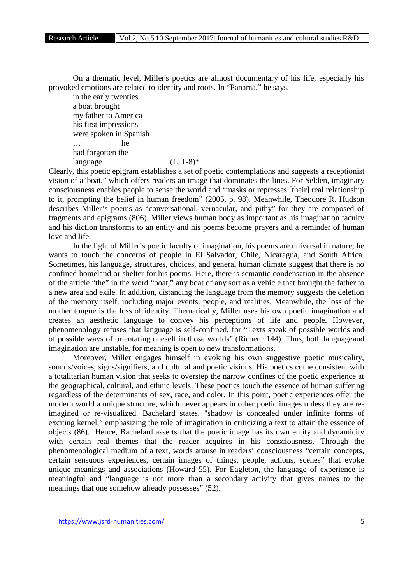On a thematic level, Miller's poetics are almost documentary of his life, especially his provoked emotions are related to identity and roots. In "Panama," he says,

in the early twenties a boat brought my father to America his first impressions were spoken in Spanish … he had forgotten the language  $(L. 1-8)^*$ 

Clearly, this poetic epigram establishes a set of poetic contemplations and suggests a receptionist vision of a"boat," which offers readers an image that dominates the lines. For Selden, imaginary consciousness enables people to sense the world and "masks or represses [their] real relationship to it, prompting the belief in human freedom" (2005, p. 98). Meanwhile, Theodore R. Hudson describes Miller's poems as "conversational, vernacular, and pithy" for they are composed of fragments and epigrams (806). Miller views human body as important as his imagination faculty and his diction transforms to an entity and his poems become prayers and a reminder of human love and life.

In the light of Miller's poetic faculty of imagination, his poems are universal in nature; he wants to touch the concerns of people in El Salvador, Chile, Nicaragua, and South Africa. Sometimes, his language, structures, choices, and general human climate suggest that there is no confined homeland or shelter for his poems. Here, there is semantic condensation in the absence of the article "the" in the word "boat," any boat of any sort as a vehicle that brought the father to a new area and exile. In addition, distancing the language from the memory suggests the deletion of the memory itself, including major events, people, and realities. Meanwhile, the loss of the mother tongue is the loss of identity. Thematically, Miller uses his own poetic imagination and creates an aesthetic language to convey his perceptions of life and people. However, phenomenology refuses that language is self-confined, for "Texts speak of possible worlds and of possible ways of orientating oneself in those worlds" (Ricoeur 144). Thus, both languageand imagination are unstable, for meaning is open to new transformations.

Moreover, Miller engages himself in evoking his own suggestive poetic musicality, sounds/voices, signs/signifiers, and cultural and poetic visions. His poetics come consistent with a totalitarian human vision that seeks to overstep the narrow confines of the poetic experience at the geographical, cultural, and ethnic levels. These poetics touch the essence of human suffering regardless of the determinants of sex, race, and color. In this point, poetic experiences offer the modern world a unique structure, which never appears in other poetic images unless they are reimagined or re-visualized. Bachelard states, "shadow is concealed under infinite forms of exciting kernel," emphasizing the role of imagination in criticizing a text to attain the essence of objects (86). Hence, Bachelard asserts that the poetic image has its own entity and dynamicity with certain real themes that the reader acquires in his consciousness. Through the phenomenological medium of a text, words arouse in readers' consciousness "certain concepts, certain sensuous experiences, certain images of things, people, actions, scenes" that evoke unique meanings and associations (Howard 55). For Eagleton, the language of experience is meaningful and "language is not more than a secondary activity that gives names to the meanings that one somehow already possesses" (52).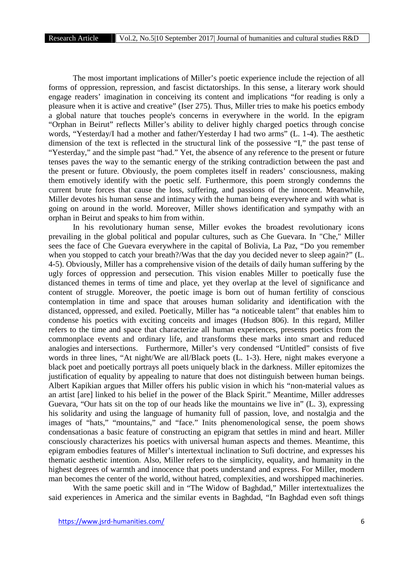The most important implications of Miller's poetic experience include the rejection of all forms of oppression, repression, and fascist dictatorships. In this sense, a literary work should engage readers' imagination in conceiving its content and implications "for reading is only a pleasure when it is active and creative" (Iser 275). Thus, Miller tries to make his poetics embody a global nature that touches people's concerns in everywhere in the world. In the epigram "Orphan in Beirut" reflects Miller's ability to deliver highly charged poetics through concise words, "Yesterday/I had a mother and father/Yesterday I had two arms" (L. 1-4). The aesthetic dimension of the text is reflected in the structural link of the possessive "I," the past tense of "Yesterday," and the simple past "had." Yet, the absence of any reference to the present or future tenses paves the way to the semantic energy of the striking contradiction between the past and the present or future. Obviously, the poem completes itself in readers' consciousness, making them emotively identify with the poetic self. Furthermore, this poem strongly condemns the current brute forces that cause the loss, suffering, and passions of the innocent. Meanwhile, Miller devotes his human sense and intimacy with the human being everywhere and with what is going on around in the world. Moreover, Miller shows identification and sympathy with an orphan in Beirut and speaks to him from within.

In his revolutionary human sense, Miller evokes the broadest revolutionary icons prevailing in the global political and popular cultures, such as Che Guevara. In "Che," Miller sees the face of Che Guevara everywhere in the capital of Bolivia, La Paz, "Do you remember when you stopped to catch your breath?/Was that the day you decided never to sleep again?" (L. 4-5). Obviously, Miller has a comprehensive vision of the details of daily human suffering by the ugly forces of oppression and persecution. This vision enables Miller to poetically fuse the distanced themes in terms of time and place, yet they overlap at the level of significance and content of struggle. Moreover, the poetic image is born out of human fertility of conscious contemplation in time and space that arouses human solidarity and identification with the distanced, oppressed, and exiled. Poetically, Miller has "a noticeable talent" that enables him to condense his poetics with exciting conceits and images (Hudson 806). In this regard, Miller refers to the time and space that characterize all human experiences, presents poetics from the commonplace events and ordinary life, and transforms these marks into smart and reduced analogies and intersections. Furthermore, Miller's very condensed "Untitled" consists of five words in three lines, "At night/We are all/Black poets (L. 1-3). Here, night makes everyone a black poet and poetically portrays all poets uniquely black in the darkness. Miller epitomizes the justification of equality by appealing to nature that does not distinguish between human beings. Albert Kapikian argues that Miller offers his public vision in which his "non-material values as an artist [are] linked to his belief in the power of the Black Spirit." Meantime, Miller addresses Guevara, "Our hats sit on the top of our heads like the mountains we live in" (L. 3), expressing his solidarity and using the language of humanity full of passion, love, and nostalgia and the images of "hats," "mountains," and "face." Inits phenomenological sense, the poem shows condensationas a basic feature of constructing an epigram that settles in mind and heart. Miller consciously characterizes his poetics with universal human aspects and themes. Meantime, this epigram embodies features of Miller's intertextual inclination to Sufi doctrine, and expresses his thematic aesthetic intention. Also, Miller refers to the simplicity, equality, and humanity in the highest degrees of warmth and innocence that poets understand and express. For Miller, modern man becomes the center of the world, without hatred, complexities, and worshipped machineries.

With the same poetic skill and in "The Widow of Baghdad," Miller intertextualizes the said experiences in America and the similar events in Baghdad, "In Baghdad even soft things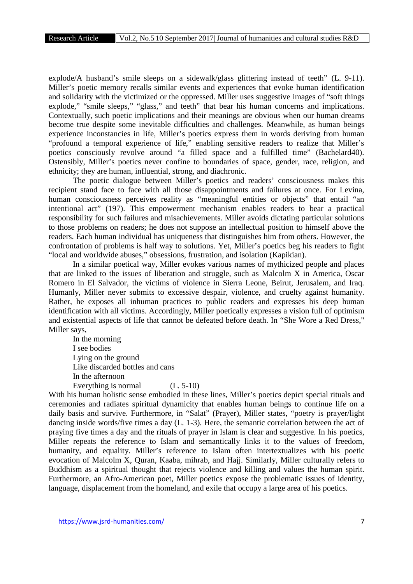explode/A husband's smile sleeps on a sidewalk/glass glittering instead of teeth" (L. 9-11). Miller's poetic memory recalls similar events and experiences that evoke human identification and solidarity with the victimized or the oppressed. Miller uses suggestive images of "soft things explode," "smile sleeps," "glass," and teeth" that bear his human concerns and implications. Contextually, such poetic implications and their meanings are obvious when our human dreams become true despite some inevitable difficulties and challenges. Meanwhile, as human beings experience inconstancies in life, Miller's poetics express them in words deriving from human "profound a temporal experience of life," enabling sensitive readers to realize that Miller's poetics consciously revolve around "a filled space and a fulfilled time" (Bachelard40). Ostensibly, Miller's poetics never confine to boundaries of space, gender, race, religion, and ethnicity; they are human, influential, strong, and diachronic.

The poetic dialogue between Miller's poetics and readers' consciousness makes this recipient stand face to face with all those disappointments and failures at once. For Levina, human consciousness perceives reality as "meaningful entities or objects" that entail "an intentional act" (197). This empowerment mechanism enables readers to bear a practical responsibility for such failures and misachievements. Miller avoids dictating particular solutions to those problems on readers; he does not suppose an intellectual position to himself above the readers. Each human individual has uniqueness that distinguishes him from others. However, the confrontation of problems is half way to solutions. Yet, Miller's poetics beg his readers to fight "local and worldwide abuses," obsessions, frustration, and isolation (Kapikian).

In a similar poetical way, Miller evokes various names of mythicized people and places that are linked to the issues of liberation and struggle, such as Malcolm X in America, Oscar Romero in El Salvador, the victims of violence in Sierra Leone, Beirut, Jerusalem, and Iraq. Humanly, Miller never submits to excessive despair, violence, and cruelty against humanity. Rather, he exposes all inhuman practices to public readers and expresses his deep human identification with all victims. Accordingly, Miller poetically expresses a vision full of optimism and existential aspects of life that cannot be defeated before death. In "She Wore a Red Dress," Miller says,

In the morning I see bodies Lying on the ground Like discarded bottles and cans In the afternoon Everything is normal (L. 5-10)

With his human holistic sense embodied in these lines, Miller's poetics depict special rituals and ceremonies and radiates spiritual dynamicity that enables human beings to continue life on a daily basis and survive. Furthermore, in "Salat" (Prayer), Miller states, "poetry is prayer/light dancing inside words/five times a day (L. 1-3). Here, the semantic correlation between the act of praying five times a day and the rituals of prayer in Islam is clear and suggestive. In his poetics, Miller repeats the reference to Islam and semantically links it to the values of freedom, humanity, and equality. Miller's reference to Islam often intertextualizes with his poetic evocation of Malcolm X, Quran, Kaaba, mihrab, and Hajj. Similarly, Miller culturally refers to Buddhism as a spiritual thought that rejects violence and killing and values the human spirit. Furthermore, an Afro-American poet, Miller poetics expose the problematic issues of identity, language, displacement from the homeland, and exile that occupy a large area of his poetics.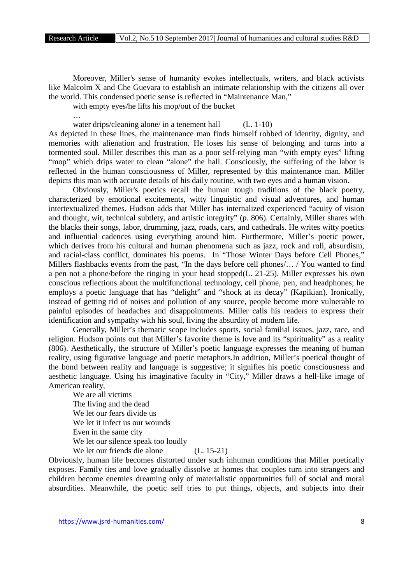Moreover, Miller's sense of humanity evokes intellectuals, writers, and black activists like Malcolm X and Che Guevara to establish an intimate relationship with the citizens all over the world. This condensed poetic sense is reflected in "Maintenance Man,"

with empty eyes/he lifts his mop/out of the bucket

…

water drips/cleaning alone/ in a tenement hall (L. 1-10)

As depicted in these lines, the maintenance man finds himself robbed of identity, dignity, and memories with alienation and frustration. He loses his sense of belonging and turns into a tormented soul. Miller describes this man as a poor self-relying man "with empty eyes" lifting "mop" which drips water to clean "alone" the hall. Consciously, the suffering of the labor is reflected in the human consciousness of Miller, represented by this maintenance man. Miller depicts this man with accurate details of his daily routine, with two eyes and a human vision.

Obviously, Miller's poetics recall the human tough traditions of the black poetry, characterized by emotional excitements, witty linguistic and visual adventures, and human intertextualized themes. Hudson adds that Miller has internalized experienced "acuity of vision and thought, wit, technical subtlety, and artistic integrity" (p. 806). Certainly, Miller shares with the blacks their songs, labor, drumming, jazz, roads, cars, and cathedrals. He writes witty poetics and influential cadences using everything around him. Furthermore, Miller's poetic power, which derives from his cultural and human phenomena such as jazz, rock and roll, absurdism, and racial-class conflict, dominates his poems. In "Those Winter Days before Cell Phones," Millers flashbacks events from the past, "In the days before cell phones/… / You wanted to find a pen not a phone/before the ringing in your head stopped(L. 21-25). Miller expresses his own conscious reflections about the multifunctional technology, cell phone, pen, and headphones; he employs a poetic language that has "delight" and "shock at its decay" (Kapikian). Ironically, instead of getting rid of noises and pollution of any source, people become more vulnerable to painful episodes of headaches and disappointments. Miller calls his readers to express their identification and sympathy with his soul, living the absurdity of modern life.

Generally, Miller's thematic scope includes sports, social familial issues, jazz, race, and religion. Hudson points out that Miller's favorite theme is love and its "spirituality" as a reality (806). Aesthetically, the structure of Miller's poetic language expresses the meaning of human reality, using figurative language and poetic metaphors.In addition, Miller's poetical thought of the bond between reality and language is suggestive; it signifies his poetic consciousness and aesthetic language. Using his imaginative faculty in "City," Miller draws a hell-like image of American reality,

We are all victims The living and the dead We let our fears divide us We let it infect us our wounds Even in the same city We let our silence speak too loudly We let our friends die alone (L. 15-21)

Obviously, human life becomes distorted under such inhuman conditions that Miller poetically exposes. Family ties and love gradually dissolve at homes that couples turn into strangers and children become enemies dreaming only of materialistic opportunities full of social and moral absurdities. Meanwhile, the poetic self tries to put things, objects, and subjects into their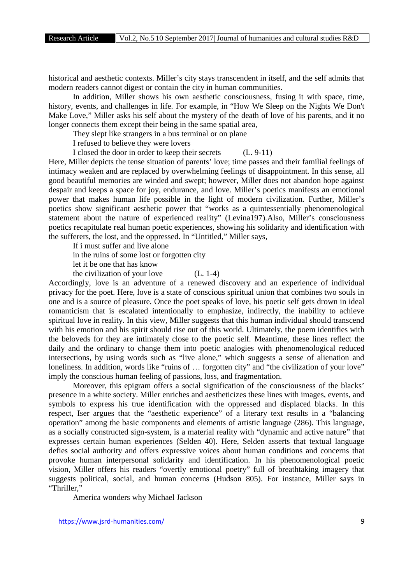historical and aesthetic contexts. Miller's city stays transcendent in itself, and the self admits that modern readers cannot digest or contain the city in human communities.

In addition, Miller shows his own aesthetic consciousness, fusing it with space, time, history, events, and challenges in life. For example, in "How We Sleep on the Nights We Don't Make Love," Miller asks his self about the mystery of the death of love of his parents, and it no longer connects them except their being in the same spatial area,

They slept like strangers in a bus terminal or on plane

I refused to believe they were lovers

I closed the door in order to keep their secrets (L. 9-11)

Here, Miller depicts the tense situation of parents' love; time passes and their familial feelings of intimacy weaken and are replaced by overwhelming feelings of disappointment. In this sense, all good beautiful memories are winded and swept; however, Miller does not abandon hope against despair and keeps a space for joy, endurance, and love. Miller's poetics manifests an emotional power that makes human life possible in the light of modern civilization. Further, Miller's poetics show significant aesthetic power that "works as a quintessentially phenomenological statement about the nature of experienced reality" (Levina197).Also, Miller's consciousness poetics recapitulate real human poetic experiences, showing his solidarity and identification with the sufferers, the lost, and the oppressed. In "Untitled," Miller says,

If i must suffer and live alone

in the ruins of some lost or forgotten city

let it be one that has know

the civilization of your love  $(L. 1-4)$ 

Accordingly, love is an adventure of a renewed discovery and an experience of individual privacy for the poet. Here, love is a state of conscious spiritual union that combines two souls in one and is a source of pleasure. Once the poet speaks of love, his poetic self gets drown in ideal romanticism that is escalated intentionally to emphasize, indirectly, the inability to achieve spiritual love in reality. In this view, Miller suggests that this human individual should transcend with his emotion and his spirit should rise out of this world. Ultimately, the poem identifies with the beloveds for they are intimately close to the poetic self. Meantime, these lines reflect the daily and the ordinary to change them into poetic analogies with phenomenological reduced intersections, by using words such as "live alone," which suggests a sense of alienation and loneliness. In addition, words like "ruins of … forgotten city" and "the civilization of your love" imply the conscious human feeling of passions, loss, and fragmentation.

Moreover, this epigram offers a social signification of the consciousness of the blacks' presence in a white society. Miller enriches and aestheticizes these lines with images, events, and symbols to express his true identification with the oppressed and displaced blacks. In this respect, Iser argues that the "aesthetic experience" of a literary text results in a "balancing operation" among the basic components and elements of artistic language (286). This language, as a socially constructed sign-system, is a material reality with "dynamic and active nature" that expresses certain human experiences (Selden 40). Here, Selden asserts that textual language defies social authority and offers expressive voices about human conditions and concerns that provoke human interpersonal solidarity and identification. In his phenomenological poetic vision, Miller offers his readers "overtly emotional poetry" full of breathtaking imagery that suggests political, social, and human concerns (Hudson 805). For instance, Miller says in "Thriller,"

America wonders why Michael Jackson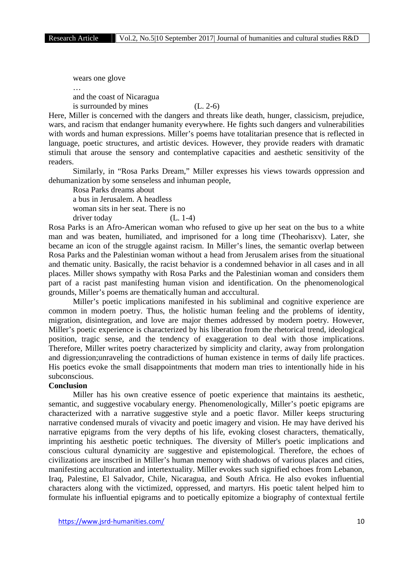wears one glove

… and the coast of Nicaragua is surrounded by mines  $(L, 2-6)$ 

Here, Miller is concerned with the dangers and threats like death, hunger, classicism, prejudice, wars, and racism that endanger humanity everywhere. He fights such dangers and vulnerabilities with words and human expressions. Miller's poems have totalitarian presence that is reflected in language, poetic structures, and artistic devices. However, they provide readers with dramatic stimuli that arouse the sensory and contemplative capacities and aesthetic sensitivity of the readers.

Similarly, in "Rosa Parks Dream," Miller expresses his views towards oppression and dehumanization by some senseless and inhuman people,

Rosa Parks dreams about a bus in Jerusalem. A headless

woman sits in her seat. There is no

driver today (L. 1-4)

Rosa Parks is an Afro-American woman who refused to give up her seat on the bus to a white man and was beaten, humiliated, and imprisoned for a long time (Theoharisxv). Later, she became an icon of the struggle against racism. In Miller's lines, the semantic overlap between Rosa Parks and the Palestinian woman without a head from Jerusalem arises from the situational and thematic unity. Basically, the racist behavior is a condemned behavior in all cases and in all places. Miller shows sympathy with Rosa Parks and the Palestinian woman and considers them part of a racist past manifesting human vision and identification. On the phenomenological grounds, Miller's poems are thematically human and acccultural.

Miller's poetic implications manifested in his subliminal and cognitive experience are common in modern poetry. Thus, the holistic human feeling and the problems of identity, migration, disintegration, and love are major themes addressed by modern poetry. However, Miller's poetic experience is characterized by his liberation from the rhetorical trend, ideological position, tragic sense, and the tendency of exaggeration to deal with those implications. Therefore, Miller writes poetry characterized by simplicity and clarity, away from prolongation and digression;unraveling the contradictions of human existence in terms of daily life practices. His poetics evoke the small disappointments that modern man tries to intentionally hide in his subconscious.

#### **Conclusion**

Miller has his own creative essence of poetic experience that maintains its aesthetic, semantic, and suggestive vocabulary energy. Phenomenologically, Miller's poetic epigrams are characterized with a narrative suggestive style and a poetic flavor. Miller keeps structuring narrative condensed murals of vivacity and poetic imagery and vision. He may have derived his narrative epigrams from the very depths of his life, evoking closest characters, thematically, imprinting his aesthetic poetic techniques. The diversity of Miller's poetic implications and conscious cultural dynamicity are suggestive and epistemological. Therefore, the echoes of civilizations are inscribed in Miller's human memory with shadows of various places and cities, manifesting acculturation and intertextuality. Miller evokes such signified echoes from Lebanon, Iraq, Palestine, El Salvador, Chile, Nicaragua, and South Africa. He also evokes influential characters along with the victimized, oppressed, and martyrs. His poetic talent helped him to formulate his influential epigrams and to poetically epitomize a biography of contextual fertile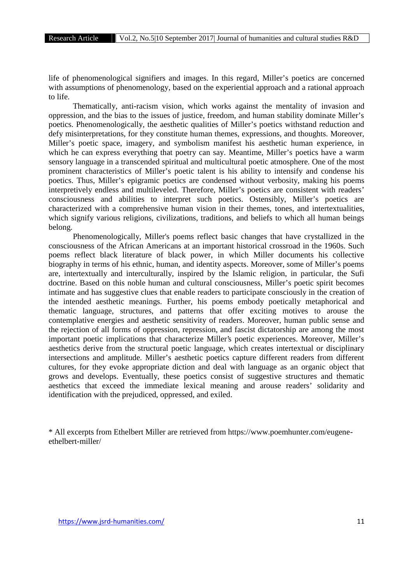life of phenomenological signifiers and images. In this regard, Miller's poetics are concerned with assumptions of phenomenology, based on the experiential approach and a rational approach to life.

Thematically, anti-racism vision, which works against the mentality of invasion and oppression, and the bias to the issues of justice, freedom, and human stability dominate Miller's poetics. Phenomenologically, the aesthetic qualities of Miller's poetics withstand reduction and defy misinterpretations, for they constitute human themes, expressions, and thoughts. Moreover, Miller's poetic space, imagery, and symbolism manifest his aesthetic human experience, in which he can express everything that poetry can say. Meantime, Miller's poetics have a warm sensory language in a transcended spiritual and multicultural poetic atmosphere. One of the most prominent characteristics of Miller's poetic talent is his ability to intensify and condense his poetics. Thus, Miller's epigramic poetics are condensed without verbosity, making his poems interpretively endless and multileveled. Therefore, Miller's poetics are consistent with readers' consciousness and abilities to interpret such poetics. Ostensibly, Miller's poetics are characterized with a comprehensive human vision in their themes, tones, and intertextualities, which signify various religions, civilizations, traditions, and beliefs to which all human beings belong.

Phenomenologically, Miller's poems reflect basic changes that have crystallized in the consciousness of the African Americans at an important historical crossroad in the 1960s. Such poems reflect black literature of black power, in which Miller documents his collective biography in terms of his ethnic, human, and identity aspects. Moreover, some of Miller's poems are, intertextually and interculturally, inspired by the Islamic religion, in particular, the Sufi doctrine. Based on this noble human and cultural consciousness, Miller's poetic spirit becomes intimate and has suggestive clues that enable readers to participate consciously in the creation of the intended aesthetic meanings. Further, his poems embody poetically metaphorical and thematic language, structures, and patterns that offer exciting motives to arouse the contemplative energies and aesthetic sensitivity of readers. Moreover, human public sense and the rejection of all forms of oppression, repression, and fascist dictatorship are among the most important poetic implications that characterize Miller's poetic experiences. Moreover, Miller's aesthetics derive from the structural poetic language, which creates intertextual or disciplinary intersections and amplitude. Miller's aesthetic poetics capture different readers from different cultures, for they evoke appropriate diction and deal with language as an organic object that grows and develops. Eventually, these poetics consist of suggestive structures and thematic aesthetics that exceed the immediate lexical meaning and arouse readers' solidarity and identification with the prejudiced, oppressed, and exiled.

\* All excerpts from Ethelbert Miller are retrieved from https://www.poemhunter.com/eugene ethelbert-miller/